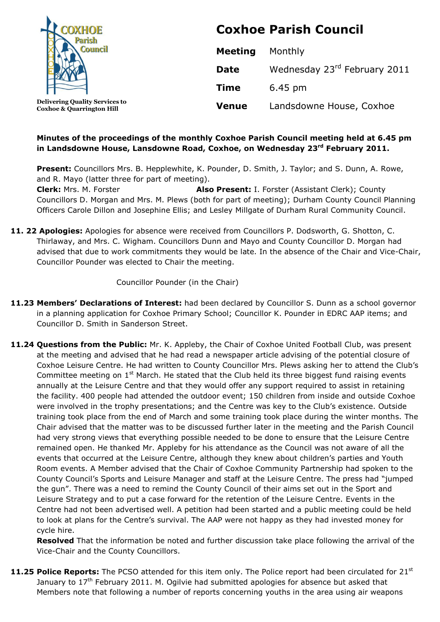

**Coxhoe & Quarrington Hill**

**Coxhoe Parish Council**

| Meeting      | Monthly                      |
|--------------|------------------------------|
| <b>Date</b>  | Wednesday 23rd February 2011 |
| <b>Time</b>  | 6.45 pm                      |
| <b>Venue</b> | Landsdowne House, Coxhoe     |

## **Minutes of the proceedings of the monthly Coxhoe Parish Council meeting held at 6.45 pm in Landsdowne House, Lansdowne Road, Coxhoe, on Wednesday 23 rd February 2011.**

**Present:** Councillors Mrs. B. Hepplewhite, K. Pounder, D. Smith, J. Taylor; and S. Dunn, A. Rowe, and R. Mayo (latter three for part of meeting). **Clerk:** Mrs. M. Forster **Also Present:** I. Forster (Assistant Clerk); County Councillors D. Morgan and Mrs. M. Plews (both for part of meeting); Durham County Council Planning Officers Carole Dillon and Josephine Ellis; and Lesley Millgate of Durham Rural Community Council.

**11. 22 Apologies:** Apologies for absence were received from Councillors P. Dodsworth, G. Shotton, C. Thirlaway, and Mrs. C. Wigham. Councillors Dunn and Mayo and County Councillor D. Morgan had advised that due to work commitments they would be late. In the absence of the Chair and Vice-Chair, Councillor Pounder was elected to Chair the meeting.

# Councillor Pounder (in the Chair)

- **11.23 Members' Declarations of Interest:** had been declared by Councillor S. Dunn as a school governor in a planning application for Coxhoe Primary School; Councillor K. Pounder in EDRC AAP items; and Councillor D. Smith in Sanderson Street.
- **11.24 Questions from the Public:** Mr. K. Appleby, the Chair of Coxhoe United Football Club, was present at the meeting and advised that he had read a newspaper article advising of the potential closure of Coxhoe Leisure Centre. He had written to County Councillor Mrs. Plews asking her to attend the Club's Committee meeting on  $1<sup>st</sup>$  March. He stated that the Club held its three biggest fund raising events annually at the Leisure Centre and that they would offer any support required to assist in retaining the facility. 400 people had attended the outdoor event; 150 children from inside and outside Coxhoe were involved in the trophy presentations; and the Centre was key to the Club's existence. Outside training took place from the end of March and some training took place during the winter months. The Chair advised that the matter was to be discussed further later in the meeting and the Parish Council had very strong views that everything possible needed to be done to ensure that the Leisure Centre remained open. He thanked Mr. Appleby for his attendance as the Council was not aware of all the events that occurred at the Leisure Centre, although they knew about children's parties and Youth Room events. A Member advised that the Chair of Coxhoe Community Partnership had spoken to the County Council's Sports and Leisure Manager and staff at the Leisure Centre. The press had "jumped the gun". There was a need to remind the County Council of their aims set out in the Sport and Leisure Strategy and to put a case forward for the retention of the Leisure Centre. Events in the Centre had not been advertised well. A petition had been started and a public meeting could be held to look at plans for the Centre's survival. The AAP were not happy as they had invested money for cycle hire.

**Resolved** That the information be noted and further discussion take place following the arrival of the Vice-Chair and the County Councillors.

**11.25 Police Reports:** The PCSO attended for this item only. The Police report had been circulated for 21<sup>st</sup> January to  $17<sup>th</sup>$  February 2011. M. Ogilvie had submitted apologies for absence but asked that Members note that following a number of reports concerning youths in the area using air weapons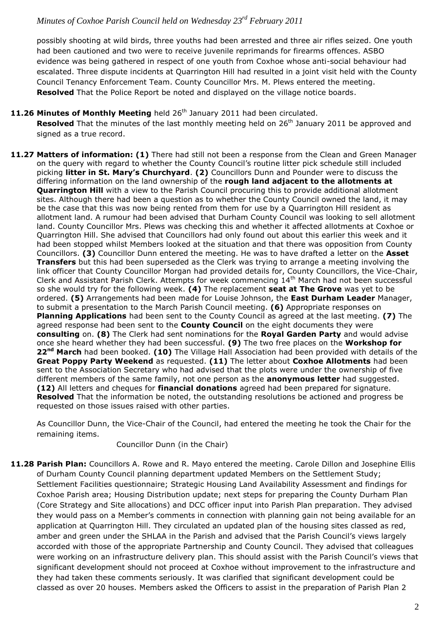possibly shooting at wild birds, three youths had been arrested and three air rifles seized. One youth had been cautioned and two were to receive juvenile reprimands for firearms offences. ASBO evidence was being gathered in respect of one youth from Coxhoe whose anti-social behaviour had escalated. Three dispute incidents at Quarrington Hill had resulted in a joint visit held with the County Council Tenancy Enforcement Team. County Councillor Mrs. M. Plews entered the meeting. **Resolved** That the Police Report be noted and displayed on the village notice boards.

#### 11.26 Minutes of Monthly Meeting held 26<sup>th</sup> January 2011 had been circulated.

Resolved That the minutes of the last monthly meeting held on 26<sup>th</sup> January 2011 be approved and signed as a true record.

**11.27 Matters of information: (1)** There had still not been a response from the Clean and Green Manager on the query with regard to whether the County Council's routine litter pick schedule still included picking **litter in St. Mary's Churchyard**. **(2)** Councillors Dunn and Pounder were to discuss the differing information on the land ownership of the **rough land adjacent to the allotments at Quarrington Hill** with a view to the Parish Council procuring this to provide additional allotment sites. Although there had been a question as to whether the County Council owned the land, it may be the case that this was now being rented from them for use by a Quarrington Hill resident as allotment land. A rumour had been advised that Durham County Council was looking to sell allotment land. County Councillor Mrs. Plews was checking this and whether it affected allotments at Coxhoe or Quarrington Hill. She advised that Councillors had only found out about this earlier this week and it had been stopped whilst Members looked at the situation and that there was opposition from County Councillors. **(3)** Councillor Dunn entered the meeting. He was to have drafted a letter on the **Asset Transfers** but this had been superseded as the Clerk was trying to arrange a meeting involving the link officer that County Councillor Morgan had provided details for, County Councillors, the Vice-Chair, Clerk and Assistant Parish Clerk. Attempts for week commencing 14<sup>th</sup> March had not been successful so she would try for the following week. **(4)** The replacement **seat at The Grove** was yet to be ordered. **(5)** Arrangements had been made for Louise Johnson, the **East Durham Leader** Manager, to submit a presentation to the March Parish Council meeting. **(6)** Appropriate responses on **Planning Applications** had been sent to the County Council as agreed at the last meeting. **(7)** The agreed response had been sent to the **County Council** on the eight documents they were **consulting** on. **(8)** The Clerk had sent nominations for the **Royal Garden Party** and would advise once she heard whether they had been successful. **(9)** The two free places on the **Workshop for 22nd March** had been booked. **(10)** The Village Hall Association had been provided with details of the **Great Poppy Party Weekend** as requested. **(11)** The letter about **Coxhoe Allotments** had been sent to the Association Secretary who had advised that the plots were under the ownership of five different members of the same family, not one person as the **anonymous letter** had suggested. **(12)** All letters and cheques for **financial donations** agreed had been prepared for signature. **Resolved** That the information be noted, the outstanding resolutions be actioned and progress be requested on those issues raised with other parties.

As Councillor Dunn, the Vice-Chair of the Council, had entered the meeting he took the Chair for the remaining items.

#### Councillor Dunn (in the Chair)

**11.28 Parish Plan:** Councillors A. Rowe and R. Mayo entered the meeting. Carole Dillon and Josephine Ellis of Durham County Council planning department updated Members on the Settlement Study; Settlement Facilities questionnaire; Strategic Housing Land Availability Assessment and findings for Coxhoe Parish area; Housing Distribution update; next steps for preparing the County Durham Plan (Core Strategy and Site allocations) and DCC officer input into Parish Plan preparation. They advised they would pass on a Member's comments in connection with planning gain not being available for an application at Quarrington Hill. They circulated an updated plan of the housing sites classed as red, amber and green under the SHLAA in the Parish and advised that the Parish Council's views largely accorded with those of the appropriate Partnership and County Council. They advised that colleagues were working on an infrastructure delivery plan. This should assist with the Parish Council's views that significant development should not proceed at Coxhoe without improvement to the infrastructure and they had taken these comments seriously. It was clarified that significant development could be classed as over 20 houses. Members asked the Officers to assist in the preparation of Parish Plan 2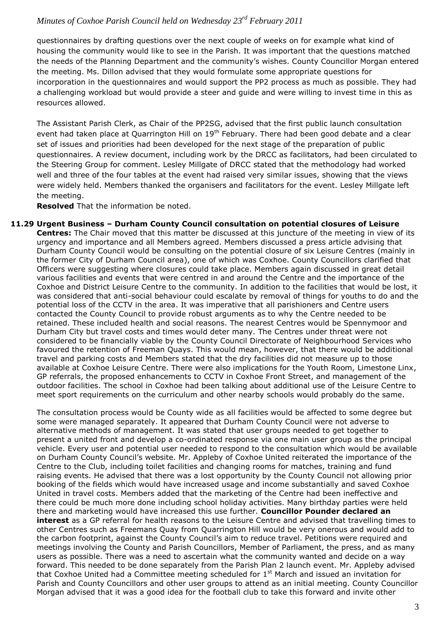questionnaires by drafting questions over the next couple of weeks on for example what kind of housing the community would like to see in the Parish. It was important that the questions matched the needs of the Planning Department and the community's wishes. County Councillor Morgan entered the meeting. Ms. Dillon advised that they would formulate some appropriate questions for incorporation in the questionnaires and would support the PP2 process as much as possible. They had a challenging workload but would provide a steer and guide and were willing to invest time in this as resources allowed.

The Assistant Parish Clerk, as Chair of the PP2SG, advised that the first public launch consultation event had taken place at Quarrington Hill on 19<sup>th</sup> February. There had been good debate and a clear set of issues and priorities had been developed for the next stage of the preparation of public questionnaires. A review document, including work by the DRCC as facilitators, had been circulated to the Steering Group for comment. Lesley Millgate of DRCC stated that the methodology had worked well and three of the four tables at the event had raised very similar issues, showing that the views were widely held. Members thanked the organisers and facilitators for the event. Lesley Millgate left the meeting.

**Resolved** That the information be noted.

**11.29 Urgent Business – Durham County Council consultation on potential closures of Leisure Centres:** The Chair moved that this matter be discussed at this juncture of the meeting in view of its urgency and importance and all Members agreed. Members discussed a press article advising that Durham County Council would be consulting on the potential closure of six Leisure Centres (mainly in the former City of Durham Council area), one of which was Coxhoe. County Councillors clarified that Officers were suggesting where closures could take place. Members again discussed in great detail various facilities and events that were centred in and around the Centre and the importance of the Coxhoe and District Leisure Centre to the community. In addition to the facilities that would be lost, it was considered that anti-social behaviour could escalate by removal of things for youths to do and the potential loss of the CCTV in the area. It was imperative that all parishioners and Centre users contacted the County Council to provide robust arguments as to why the Centre needed to be retained. These included health and social reasons. The nearest Centres would be Spennymoor and Durham City but travel costs and times would deter many. The Centres under threat were not considered to be financially viable by the County Council Directorate of Neighbourhood Services who favoured the retention of Freeman Quays. This would mean, however, that there would be additional travel and parking costs and Members stated that the dry facilities did not measure up to those available at Coxhoe Leisure Centre. There were also implications for the Youth Room, Limestone Linx, GP referrals, the proposed enhancements to CCTV in Coxhoe Front Street, and management of the outdoor facilities. The school in Coxhoe had been talking about additional use of the Leisure Centre to meet sport requirements on the curriculum and other nearby schools would probably do the same.

The consultation process would be County wide as all facilities would be affected to some degree but some were managed separately. It appeared that Durham County Council were not adverse to alternative methods of management. It was stated that user groups needed to get together to present a united front and develop a co-ordinated response via one main user group as the principal vehicle. Every user and potential user needed to respond to the consultation which would be available on Durham County Council's website. Mr. Appleby of Coxhoe United reiterated the importance of the Centre to the Club, including toilet facilities and changing rooms for matches, training and fund raising events. He advised that there was a lost opportunity by the County Council not allowing prior booking of the fields which would have increased usage and income substantially and saved Coxhoe United in travel costs. Members added that the marketing of the Centre had been ineffective and there could be much more done including school holiday activities. Many birthday parties were held there and marketing would have increased this use further. **Councillor Pounder declared an interest** as a GP referral for health reasons to the Leisure Centre and advised that travelling times to other Centres such as Freemans Quay from Quarrington Hill would be very onerous and would add to the carbon footprint, against the County Council's aim to reduce travel. Petitions were required and meetings involving the County and Parish Councillors, Member of Parliament, the press, and as many users as possible. There was a need to ascertain what the community wanted and decide on a way forward. This needed to be done separately from the Parish Plan 2 launch event. Mr. Appleby advised that Coxhoe United had a Committee meeting scheduled for  $1<sup>st</sup>$  March and issued an invitation for Parish and County Councillors and other user groups to attend as an initial meeting. County Councillor Morgan advised that it was a good idea for the football club to take this forward and invite other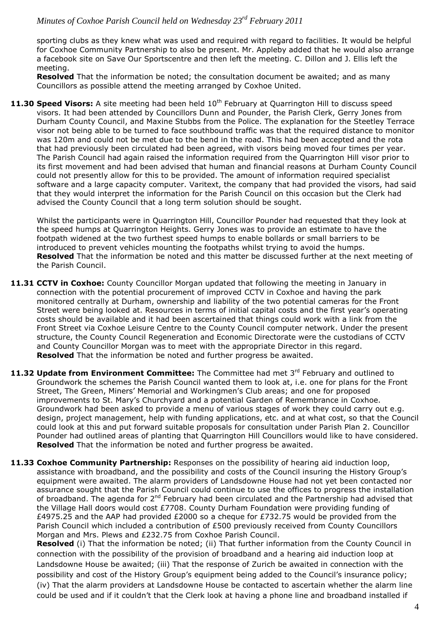sporting clubs as they knew what was used and required with regard to facilities. It would be helpful for Coxhoe Community Partnership to also be present. Mr. Appleby added that he would also arrange a facebook site on Save Our Sportscentre and then left the meeting. C. Dillon and J. Ellis left the meeting.

**Resolved** That the information be noted; the consultation document be awaited; and as many Councillors as possible attend the meeting arranged by Coxhoe United.

11.30 Speed Visors: A site meeting had been held 10<sup>th</sup> February at Quarrington Hill to discuss speed visors. It had been attended by Councillors Dunn and Pounder, the Parish Clerk, Gerry Jones from Durham County Council, and Maxine Stubbs from the Police. The explanation for the Steetley Terrace visor not being able to be turned to face southbound traffic was that the required distance to monitor was 120m and could not be met due to the bend in the road. This had been accepted and the rota that had previously been circulated had been agreed, with visors being moved four times per year. The Parish Council had again raised the information required from the Quarrington Hill visor prior to its first movement and had been advised that human and financial reasons at Durham County Council could not presently allow for this to be provided. The amount of information required specialist software and a large capacity computer. Varitext, the company that had provided the visors, had said that they would interpret the information for the Parish Council on this occasion but the Clerk had advised the County Council that a long term solution should be sought.

Whilst the participants were in Quarrington Hill, Councillor Pounder had requested that they look at the speed humps at Quarrington Heights. Gerry Jones was to provide an estimate to have the footpath widened at the two furthest speed humps to enable bollards or small barriers to be introduced to prevent vehicles mounting the footpaths whilst trying to avoid the humps. **Resolved** That the information be noted and this matter be discussed further at the next meeting of the Parish Council.

- **11.31 CCTV in Coxhoe:** County Councillor Morgan updated that following the meeting in January in connection with the potential procurement of improved CCTV in Coxhoe and having the park monitored centrally at Durham, ownership and liability of the two potential cameras for the Front Street were being looked at. Resources in terms of initial capital costs and the first year's operating costs should be available and it had been ascertained that things could work with a link from the Front Street via Coxhoe Leisure Centre to the County Council computer network. Under the present structure, the County Council Regeneration and Economic Directorate were the custodians of CCTV and County Councillor Morgan was to meet with the appropriate Director in this regard. **Resolved** That the information be noted and further progress be awaited.
- 11.32 Update from Environment Committee: The Committee had met 3<sup>rd</sup> February and outlined to Groundwork the schemes the Parish Council wanted them to look at, i.e. one for plans for the Front Street, The Green, Miners' Memorial and Workingmen's Club areas; and one for proposed improvements to St. Mary's Churchyard and a potential Garden of Remembrance in Coxhoe. Groundwork had been asked to provide a menu of various stages of work they could carry out e.g. design, project management, help with funding applications, etc. and at what cost, so that the Council could look at this and put forward suitable proposals for consultation under Parish Plan 2. Councillor Pounder had outlined areas of planting that Quarrington Hill Councillors would like to have considered. **Resolved** That the information be noted and further progress be awaited.
- **11.33 Coxhoe Community Partnership:** Responses on the possibility of hearing aid induction loop, assistance with broadband, and the possibility and costs of the Council insuring the History Group's equipment were awaited. The alarm providers of Landsdowne House had not yet been contacted nor assurance sought that the Parish Council could continue to use the offices to progress the installation of broadband. The agenda for 2<sup>nd</sup> February had been circulated and the Partnership had advised that the Village Hall doors would cost £7708. County Durham Foundation were providing funding of £4975.25 and the AAP had provided £2000 so a cheque for £732.75 would be provided from the Parish Council which included a contribution of £500 previously received from County Councillors Morgan and Mrs. Plews and £232.75 from Coxhoe Parish Council.

**Resolved** (i) That the information be noted; (ii) That further information from the County Council in connection with the possibility of the provision of broadband and a hearing aid induction loop at Landsdowne House be awaited; (iii) That the response of Zurich be awaited in connection with the possibility and cost of the History Group's equipment being added to the Council's insurance policy; (iv) That the alarm providers at Landsdowne House be contacted to ascertain whether the alarm line could be used and if it couldn't that the Clerk look at having a phone line and broadband installed if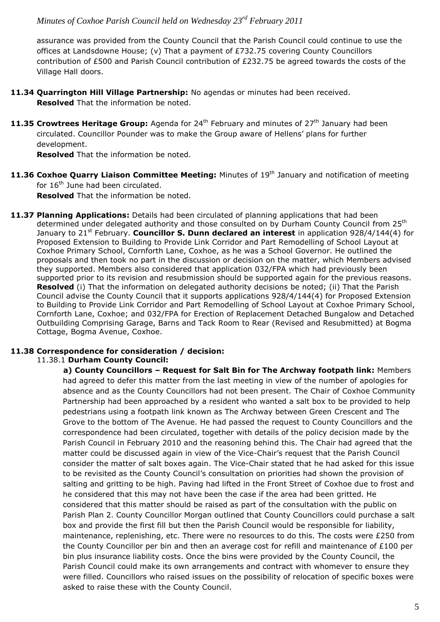assurance was provided from the County Council that the Parish Council could continue to use the offices at Landsdowne House; (v) That a payment of £732.75 covering County Councillors contribution of £500 and Parish Council contribution of £232.75 be agreed towards the costs of the Village Hall doors.

- **11.34 Quarrington Hill Village Partnership:** No agendas or minutes had been received. **Resolved** That the information be noted.
- **11.35 Crowtrees Heritage Group:** Agenda for 24<sup>th</sup> February and minutes of 27<sup>th</sup> January had been circulated. Councillor Pounder was to make the Group aware of Hellens' plans for further development.

**Resolved** That the information be noted.

**11.36 Coxhoe Quarry Liaison Committee Meeting:** Minutes of 19<sup>th</sup> January and notification of meeting for 16<sup>th</sup> June had been circulated.

**Resolved** That the information be noted.

**11.37 Planning Applications:** Details had been circulated of planning applications that had been determined under delegated authority and those consulted on by Durham County Council from 25<sup>th</sup> January to 21<sup>st</sup> February. **Councillor S. Dunn declared an interest** in application 928/4/144(4) for Proposed Extension to Building to Provide Link Corridor and Part Remodelling of School Layout at Coxhoe Primary School, Cornforth Lane, Coxhoe, as he was a School Governor. He outlined the proposals and then took no part in the discussion or decision on the matter, which Members advised they supported. Members also considered that application 032/FPA which had previously been supported prior to its revision and resubmission should be supported again for the previous reasons. **Resolved** (i) That the information on delegated authority decisions be noted; (ii) That the Parish Council advise the County Council that it supports applications 928/4/144(4) for Proposed Extension to Building to Provide Link Corridor and Part Remodelling of School Layout at Coxhoe Primary School, Cornforth Lane, Coxhoe; and 032/FPA for Erection of Replacement Detached Bungalow and Detached Outbuilding Comprising Garage, Barns and Tack Room to Rear (Revised and Resubmitted) at Bogma Cottage, Bogma Avenue, Coxhoe.

# **11.38 Correspondence for consideration / decision:**

## 11.38.1 **Durham County Council:**

**a) County Councillors – Request for Salt Bin for The Archway footpath link:** Members had agreed to defer this matter from the last meeting in view of the number of apologies for absence and as the County Councillors had not been present. The Chair of Coxhoe Community Partnership had been approached by a resident who wanted a salt box to be provided to help pedestrians using a footpath link known as The Archway between Green Crescent and The Grove to the bottom of The Avenue. He had passed the request to County Councillors and the correspondence had been circulated, together with details of the policy decision made by the Parish Council in February 2010 and the reasoning behind this. The Chair had agreed that the matter could be discussed again in view of the Vice-Chair's request that the Parish Council consider the matter of salt boxes again. The Vice-Chair stated that he had asked for this issue to be revisited as the County Council's consultation on priorities had shown the provision of salting and gritting to be high. Paving had lifted in the Front Street of Coxhoe due to frost and he considered that this may not have been the case if the area had been gritted. He considered that this matter should be raised as part of the consultation with the public on Parish Plan 2. County Councillor Morgan outlined that County Councillors could purchase a salt box and provide the first fill but then the Parish Council would be responsible for liability, maintenance, replenishing, etc. There were no resources to do this. The costs were £250 from the County Councillor per bin and then an average cost for refill and maintenance of £100 per bin plus insurance liability costs. Once the bins were provided by the County Council, the Parish Council could make its own arrangements and contract with whomever to ensure they were filled. Councillors who raised issues on the possibility of relocation of specific boxes were asked to raise these with the County Council.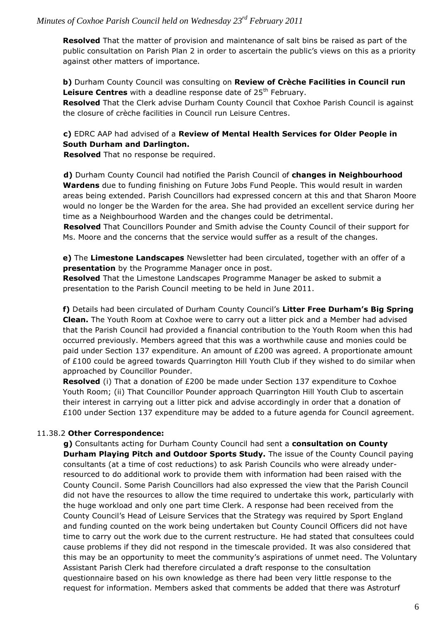**Resolved** That the matter of provision and maintenance of salt bins be raised as part of the public consultation on Parish Plan 2 in order to ascertain the public's views on this as a priority against other matters of importance.

**b)** Durham County Council was consulting on **Review of Crèche Facilities in Council run**  Leisure Centres with a deadline response date of 25<sup>th</sup> February.

**Resolved** That the Clerk advise Durham County Council that Coxhoe Parish Council is against the closure of crèche facilities in Council run Leisure Centres.

## **c)** EDRC AAP had advised of a **Review of Mental Health Services for Older People in South Durham and Darlington.**

**Resolved** That no response be required.

**d)** Durham County Council had notified the Parish Council of **changes in Neighbourhood Wardens** due to funding finishing on Future Jobs Fund People. This would result in warden areas being extended. Parish Councillors had expressed concern at this and that Sharon Moore would no longer be the Warden for the area. She had provided an excellent service during her time as a Neighbourhood Warden and the changes could be detrimental.

**Resolved** That Councillors Pounder and Smith advise the County Council of their support for Ms. Moore and the concerns that the service would suffer as a result of the changes.

**e)** The **Limestone Landscapes** Newsletter had been circulated, together with an offer of a **presentation** by the Programme Manager once in post.

**Resolved** That the Limestone Landscapes Programme Manager be asked to submit a presentation to the Parish Council meeting to be held in June 2011.

**f)** Details had been circulated of Durham County Council's **Litter Free Durham's Big Spring Clean.** The Youth Room at Coxhoe were to carry out a litter pick and a Member had advised that the Parish Council had provided a financial contribution to the Youth Room when this had occurred previously. Members agreed that this was a worthwhile cause and monies could be paid under Section 137 expenditure. An amount of £200 was agreed. A proportionate amount of £100 could be agreed towards Quarrington Hill Youth Club if they wished to do similar when approached by Councillor Pounder.

**Resolved** (i) That a donation of £200 be made under Section 137 expenditure to Coxhoe Youth Room; (ii) That Councillor Pounder approach Quarrington Hill Youth Club to ascertain their interest in carrying out a litter pick and advise accordingly in order that a donation of £100 under Section 137 expenditure may be added to a future agenda for Council agreement.

## 11.38.2 **Other Correspondence:**

**g)** Consultants acting for Durham County Council had sent a **consultation on County Durham Playing Pitch and Outdoor Sports Study.** The issue of the County Council paying consultants (at a time of cost reductions) to ask Parish Councils who were already underresourced to do additional work to provide them with information had been raised with the County Council. Some Parish Councillors had also expressed the view that the Parish Council did not have the resources to allow the time required to undertake this work, particularly with the huge workload and only one part time Clerk. A response had been received from the County Council's Head of Leisure Services that the Strategy was required by Sport England and funding counted on the work being undertaken but County Council Officers did not have time to carry out the work due to the current restructure. He had stated that consultees could cause problems if they did not respond in the timescale provided. It was also considered that this may be an opportunity to meet the community's aspirations of unmet need. The Voluntary Assistant Parish Clerk had therefore circulated a draft response to the consultation questionnaire based on his own knowledge as there had been very little response to the request for information. Members asked that comments be added that there was Astroturf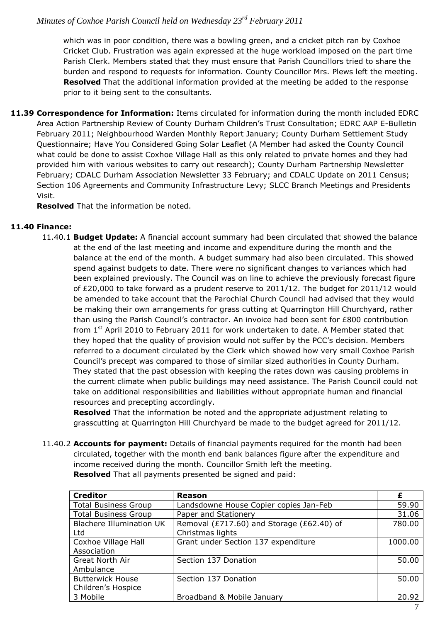which was in poor condition, there was a bowling green, and a cricket pitch ran by Coxhoe Cricket Club. Frustration was again expressed at the huge workload imposed on the part time Parish Clerk. Members stated that they must ensure that Parish Councillors tried to share the burden and respond to requests for information. County Councillor Mrs. Plews left the meeting. **Resolved** That the additional information provided at the meeting be added to the response prior to it being sent to the consultants.

**11.39 Correspondence for Information:** Items circulated for information during the month included EDRC Area Action Partnership Review of County Durham Children's Trust Consultation; EDRC AAP E-Bulletin February 2011; Neighbourhood Warden Monthly Report January; County Durham Settlement Study Questionnaire; Have You Considered Going Solar Leaflet (A Member had asked the County Council what could be done to assist Coxhoe Village Hall as this only related to private homes and they had provided him with various websites to carry out research); County Durham Partnership Newsletter February; CDALC Durham Association Newsletter 33 February; and CDALC Update on 2011 Census; Section 106 Agreements and Community Infrastructure Levy; SLCC Branch Meetings and Presidents Visit.

**Resolved** That the information be noted.

#### **11.40 Finance:**

11.40.1 **Budget Update:** A financial account summary had been circulated that showed the balance at the end of the last meeting and income and expenditure during the month and the balance at the end of the month. A budget summary had also been circulated. This showed spend against budgets to date. There were no significant changes to variances which had been explained previously. The Council was on line to achieve the previously forecast figure of £20,000 to take forward as a prudent reserve to 2011/12. The budget for 2011/12 would be amended to take account that the Parochial Church Council had advised that they would be making their own arrangements for grass cutting at Quarrington Hill Churchyard, rather than using the Parish Council's contractor. An invoice had been sent for £800 contribution from  $1<sup>st</sup>$  April 2010 to February 2011 for work undertaken to date. A Member stated that they hoped that the quality of provision would not suffer by the PCC's decision. Members referred to a document circulated by the Clerk which showed how very small Coxhoe Parish Council's precept was compared to those of similar sized authorities in County Durham. They stated that the past obsession with keeping the rates down was causing problems in the current climate when public buildings may need assistance. The Parish Council could not take on additional responsibilities and liabilities without appropriate human and financial resources and precepting accordingly.

**Resolved** That the information be noted and the appropriate adjustment relating to grasscutting at Quarrington Hill Churchyard be made to the budget agreed for 2011/12.

11.40.2 **Accounts for payment:** Details of financial payments required for the month had been circulated, together with the month end bank balances figure after the expenditure and income received during the month. Councillor Smith left the meeting. **Resolved** That all payments presented be signed and paid:

| <b>Creditor</b>                               | Reason                                                        | £       |
|-----------------------------------------------|---------------------------------------------------------------|---------|
| <b>Total Business Group</b>                   | Landsdowne House Copier copies Jan-Feb                        | 59.90   |
| <b>Total Business Group</b>                   | Paper and Stationery                                          | 31.06   |
| <b>Blachere Illumination UK</b><br>Ltd        | Removal (£717.60) and Storage (£62.40) of<br>Christmas lights | 780.00  |
| Coxhoe Village Hall<br>Association            | Grant under Section 137 expenditure                           | 1000.00 |
| <b>Great North Air</b><br>Ambulance           | Section 137 Donation                                          | 50.00   |
| <b>Butterwick House</b><br>Children's Hospice | Section 137 Donation                                          | 50.00   |
| 3 Mobile                                      | Broadband & Mobile January                                    | 20.92   |